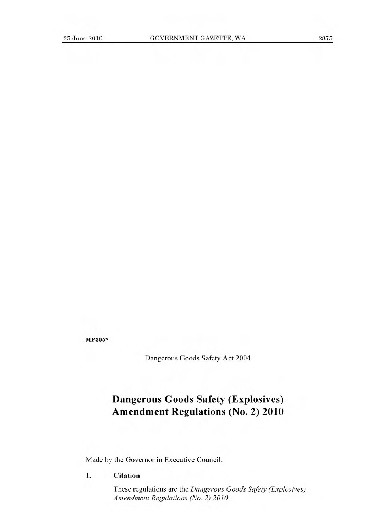**MP305\*** 

Dangerous Goods Safety Act 2004

# **Dangerous Goods Safety (Explosives) Amendment Regulations (No. 2) 2010**

Made by the Governor in Executive Council.

**1. Citation** 

These regulations are the *Dangerous Goods Safety (Explosives) Amendment Regulations (No. 2) 2010.*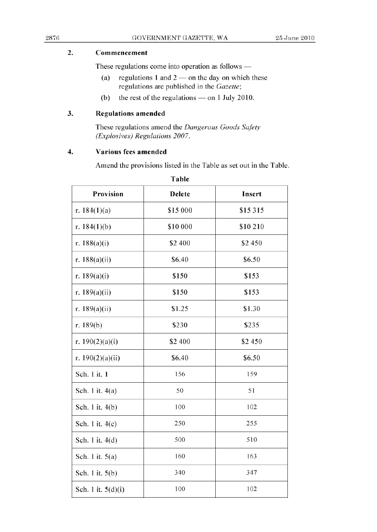### 2. **Commencement**

These regulations come into operation as follows  $-$ 

- (a) regulations 1 and  $2$  on the day on which these regulations are published in the *Gazette;*
- (b) the rest of the regulations  $-$  on 1 July 2010.

### 3. Regulations **amended**

These regulations amend the *Dangerous Goods Safety (Explosives) Regulations 2007.* 

#### **4. Various fees amended**

Amend the provisions listed in the Table as set out in the Table.

| Provision            | Delete   | Insert   |
|----------------------|----------|----------|
| r. $184(1)(a)$       | \$15 000 | \$15 315 |
| r. $184(1)(b)$       | \$10 000 | \$10 210 |
| r. $188(a)(i)$       | \$2 400  | \$2 450  |
| r. $188(a)(ii)$      | \$6.40   | \$6.50   |
| r. 189(a)(i)         | \$150    | \$153    |
| r. 189(a)(ii)        | \$150    | \$153    |
| r. 189 $(a)(ii)$     | \$1.25   | \$1.30   |
| r. $189(b)$          | \$230    | \$235    |
| r. $190(2)(a)(i)$    | \$2 400  | \$2 450  |
| r. $190(2)(a)(ii)$   | \$6.40   | \$6.50   |
| Sch. 1 it. 1         | 156      | 159      |
| Sch. 1 it. 4(a)      | 50       | 51       |
| Sch. 1 it. 4(b)      | 100      | 102      |
| Sch. 1 it. 4(c)      | 250      | 255      |
| Sch. 1 it. 4(d)      | 500      | 510      |
| Sch. 1 it. 5(a)      | 160      | 163      |
| Sch. 1 it. 5(b)      | 340      | 347      |
| Sch. 1 it. $5(d)(i)$ | 100      | 102      |

Table